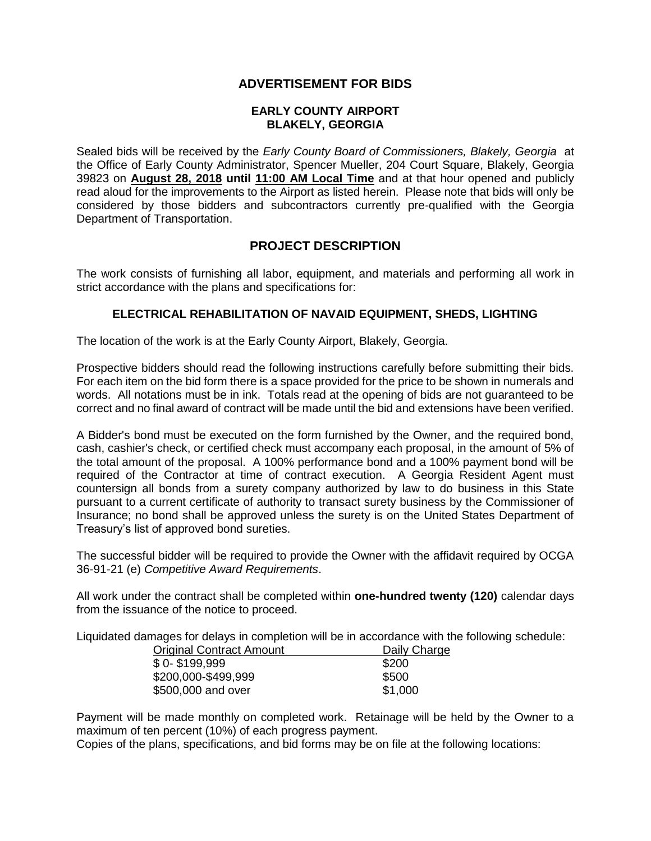# **ADVERTISEMENT FOR BIDS**

### **EARLY COUNTY AIRPORT BLAKELY, GEORGIA**

Sealed bids will be received by the *Early County Board of Commissioners, Blakely, Georgia* at the Office of Early County Administrator, Spencer Mueller, 204 Court Square, Blakely, Georgia 39823 on **August 28, 2018 until 11:00 AM Local Time** and at that hour opened and publicly read aloud for the improvements to the Airport as listed herein. Please note that bids will only be considered by those bidders and subcontractors currently pre-qualified with the Georgia Department of Transportation.

## **PROJECT DESCRIPTION**

The work consists of furnishing all labor, equipment, and materials and performing all work in strict accordance with the plans and specifications for:

### **ELECTRICAL REHABILITATION OF NAVAID EQUIPMENT, SHEDS, LIGHTING**

The location of the work is at the Early County Airport, Blakely, Georgia.

Prospective bidders should read the following instructions carefully before submitting their bids. For each item on the bid form there is a space provided for the price to be shown in numerals and words. All notations must be in ink. Totals read at the opening of bids are not guaranteed to be correct and no final award of contract will be made until the bid and extensions have been verified.

A Bidder's bond must be executed on the form furnished by the Owner, and the required bond, cash, cashier's check, or certified check must accompany each proposal, in the amount of 5% of the total amount of the proposal. A 100% performance bond and a 100% payment bond will be required of the Contractor at time of contract execution. A Georgia Resident Agent must countersign all bonds from a surety company authorized by law to do business in this State pursuant to a current certificate of authority to transact surety business by the Commissioner of Insurance; no bond shall be approved unless the surety is on the United States Department of Treasury's list of approved bond sureties.

The successful bidder will be required to provide the Owner with the affidavit required by OCGA 36-91-21 (e) *Competitive Award Requirements*.

All work under the contract shall be completed within **one-hundred twenty (120)** calendar days from the issuance of the notice to proceed.

Liquidated damages for delays in completion will be in accordance with the following schedule:

| <b>Original Contract Amount</b> | Daily Charge |
|---------------------------------|--------------|
| $$0-$199.999$                   | \$200        |
| \$200,000-\$499,999             | \$500        |
| \$500,000 and over              | \$1,000      |

Payment will be made monthly on completed work. Retainage will be held by the Owner to a maximum of ten percent (10%) of each progress payment.

Copies of the plans, specifications, and bid forms may be on file at the following locations: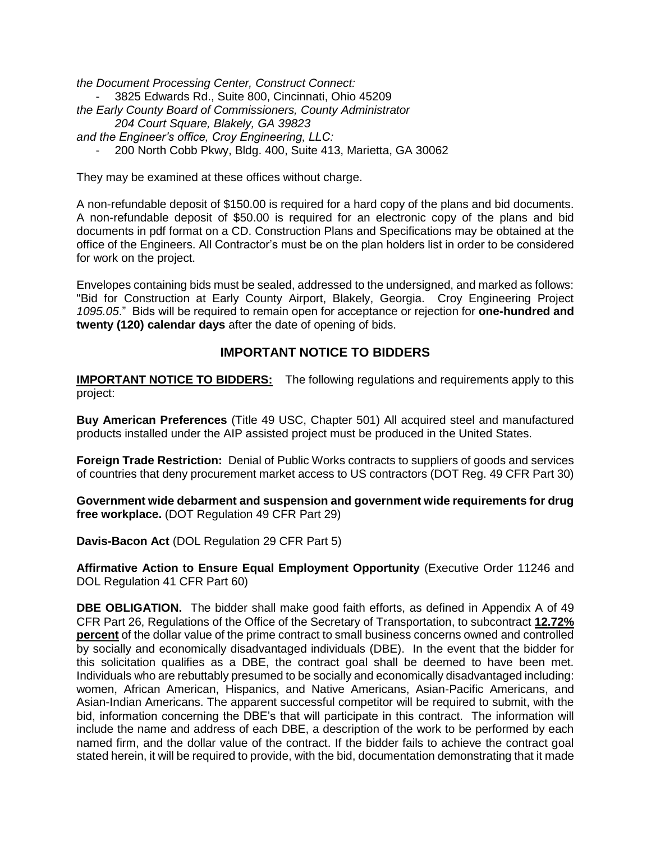*the Document Processing Center, Construct Connect:*

- 3825 Edwards Rd., Suite 800, Cincinnati, Ohio 45209

- *the Early County Board of Commissioners, County Administrator*
	- *204 Court Square, Blakely, GA 39823*
- *and the Engineer's office, Croy Engineering, LLC:*
	- 200 North Cobb Pkwy, Bldg. 400, Suite 413, Marietta, GA 30062

They may be examined at these offices without charge.

A non-refundable deposit of \$150.00 is required for a hard copy of the plans and bid documents. A non-refundable deposit of \$50.00 is required for an electronic copy of the plans and bid documents in pdf format on a CD. Construction Plans and Specifications may be obtained at the office of the Engineers. All Contractor's must be on the plan holders list in order to be considered for work on the project.

Envelopes containing bids must be sealed, addressed to the undersigned, and marked as follows: "Bid for Construction at Early County Airport, Blakely, Georgia. Croy Engineering Project *1095.05*." Bids will be required to remain open for acceptance or rejection for **one-hundred and twenty (120) calendar days** after the date of opening of bids.

# **IMPORTANT NOTICE TO BIDDERS**

**IMPORTANT NOTICE TO BIDDERS:** The following regulations and requirements apply to this project:

**Buy American Preferences** (Title 49 USC, Chapter 501) All acquired steel and manufactured products installed under the AIP assisted project must be produced in the United States.

**Foreign Trade Restriction:** Denial of Public Works contracts to suppliers of goods and services of countries that deny procurement market access to US contractors (DOT Reg. 49 CFR Part 30)

**Government wide debarment and suspension and government wide requirements for drug free workplace.** (DOT Regulation 49 CFR Part 29)

**Davis-Bacon Act** (DOL Regulation 29 CFR Part 5)

**Affirmative Action to Ensure Equal Employment Opportunity** (Executive Order 11246 and DOL Regulation 41 CFR Part 60)

**DBE OBLIGATION.** The bidder shall make good faith efforts, as defined in Appendix A of 49 CFR Part 26, Regulations of the Office of the Secretary of Transportation, to subcontract **12.72% percent** of the dollar value of the prime contract to small business concerns owned and controlled by socially and economically disadvantaged individuals (DBE). In the event that the bidder for this solicitation qualifies as a DBE, the contract goal shall be deemed to have been met. Individuals who are rebuttably presumed to be socially and economically disadvantaged including: women, African American, Hispanics, and Native Americans, Asian-Pacific Americans, and Asian-Indian Americans. The apparent successful competitor will be required to submit, with the bid, information concerning the DBE's that will participate in this contract. The information will include the name and address of each DBE, a description of the work to be performed by each named firm, and the dollar value of the contract. If the bidder fails to achieve the contract goal stated herein, it will be required to provide, with the bid, documentation demonstrating that it made